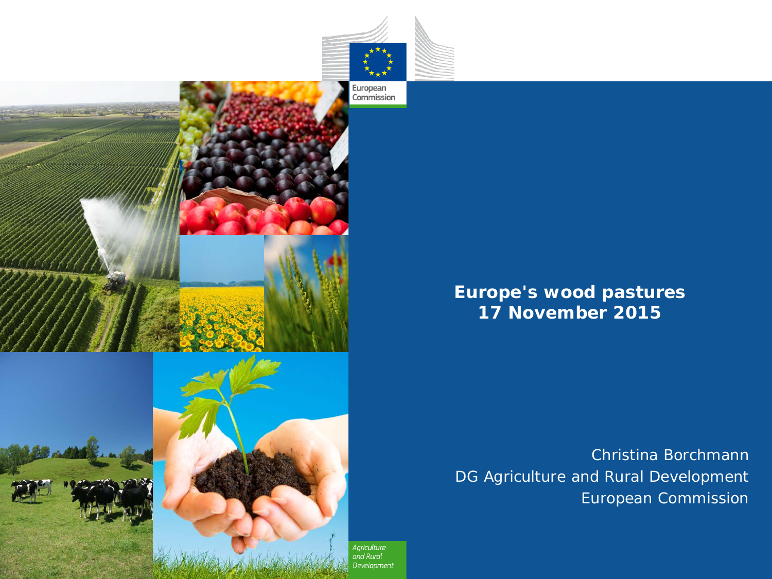



#### **Europe's wood pastures 17 November 2015**

*Christina Borchmann DG Agriculture and Rural Development European Commission*

Agriculture and Rural **Development**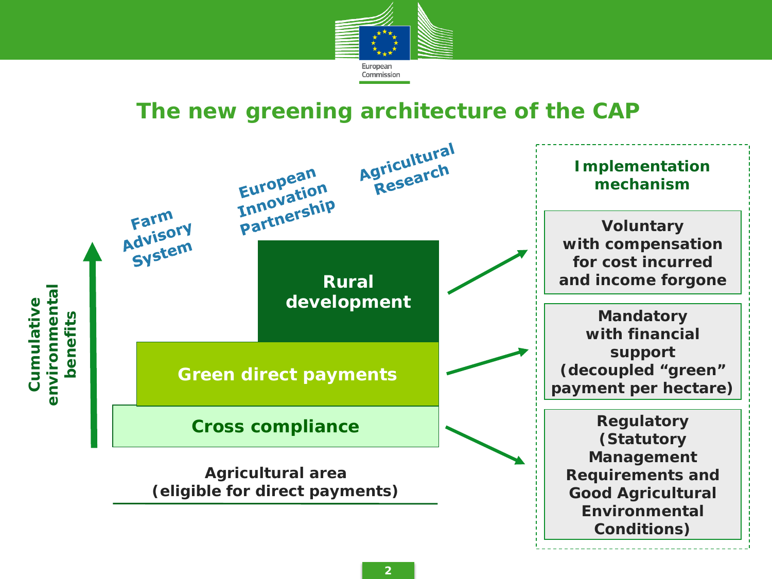

## **The new greening architecture of the CAP**

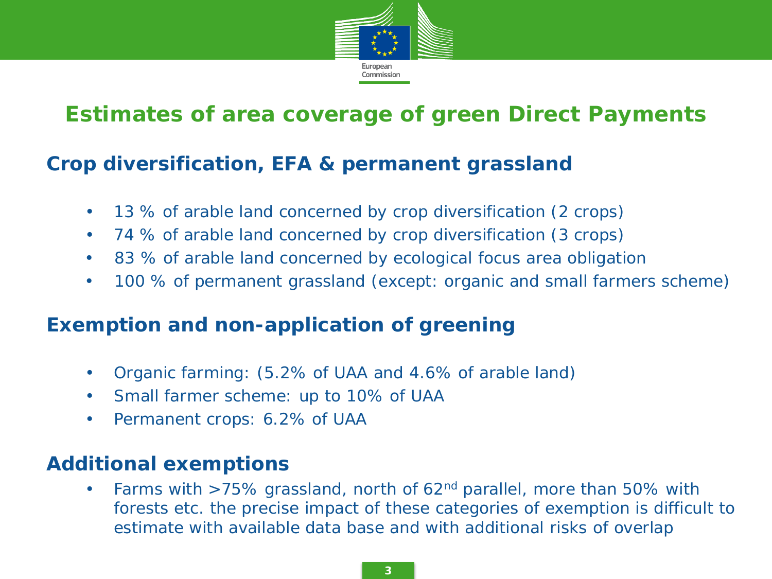

# **Estimates of area coverage of green Direct Payments**

### **Crop diversification, EFA & permanent grassland**

- 13 % of arable land concerned by crop diversification (2 crops)
- 74 % of arable land concerned by crop diversification (3 crops)
- 83 % of arable land concerned by ecological focus area obligation
- 100 % of permanent grassland (except: organic and small farmers scheme)

### **Exemption and non-application of greening**

- Organic farming: (5.2% of UAA and 4.6% of arable land)
- Small farmer scheme: up to 10% of UAA
- Permanent crops: 6.2% of UAA

#### **Additional exemptions**

• Farms with  $>75\%$  grassland, north of 62<sup>nd</sup> parallel, more than 50% with forests etc. the precise impact of these categories of exemption is difficult to estimate with available data base and with additional risks of overlap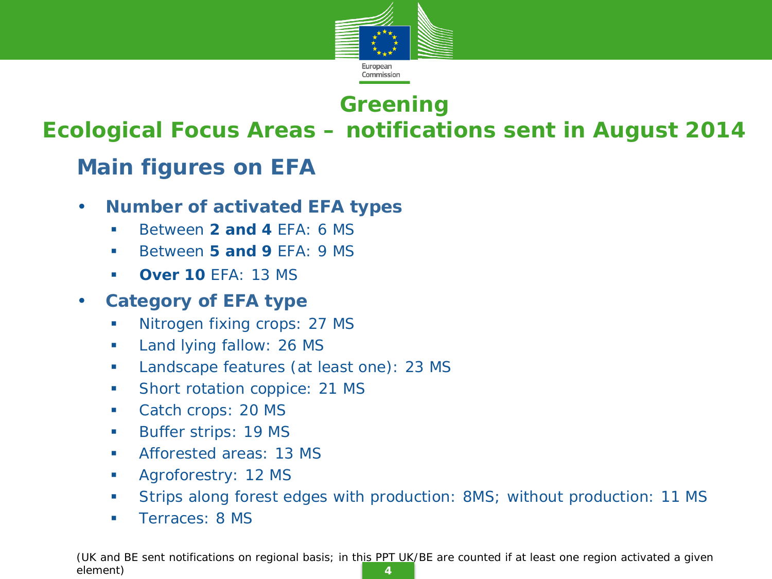

# **Greening**

### **Ecological Focus Areas – notifications sent in August 2014**

# **Main figures on EFA**

- **Number of activated EFA types** 
	- **Between 2 and 4 EFA: 6 MS**
	- **Between 5 and 9 EFA: 9 MS**
	- **Over 10** EFA: 13 MS
- **Category of EFA type**
	- Nitrogen fixing crops: 27 MS
	- **Land lying fallow: 26 MS**
	- **Landscape features (at least one): 23 MS**
	- **Short rotation coppice: 21 MS**
	- Catch crops: 20 MS
	- **Buffer strips: 19 MS**
	- **Afforested areas: 13 MS**
	- **Agroforestry: 12 MS**
	- Strips along forest edges with production: 8MS; without production: 11 MS
	- **Terraces: 8 MS**

**4** *(UK and BE sent notifications on regional basis; in this PPT UK/BE are counted if at least one region activated a given element)*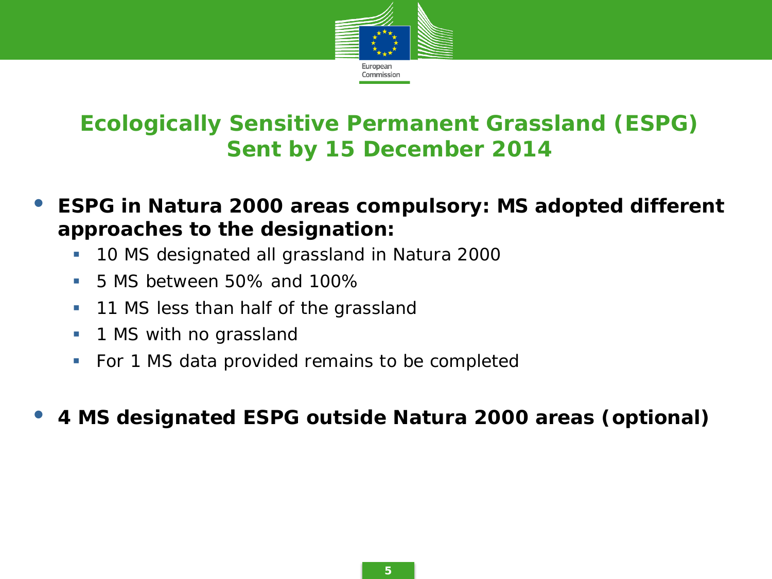

# **Ecologically Sensitive Permanent Grassland (ESPG) Sent by 15 December 2014**

- **ESPG in Natura 2000 areas compulsory: MS adopted different approaches to the designation:**
	- **10 MS designated all grassland in Natura 2000**
	- 5 MS between 50% and 100%
	- **11 MS less than half of the grassland**
	- **1 MS with no grassland**
	- For 1 MS data provided remains to be completed

• **4 MS designated ESPG outside Natura 2000 areas (optional)**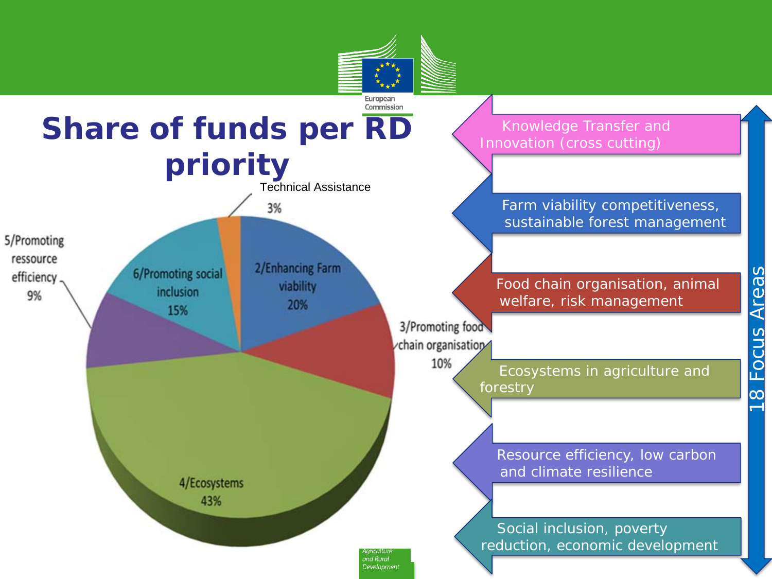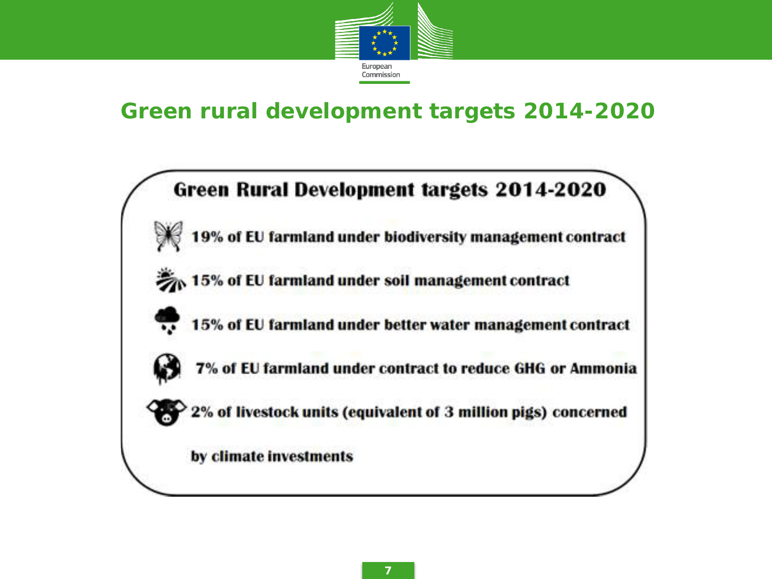

## **Green rural development targets 2014-2020**

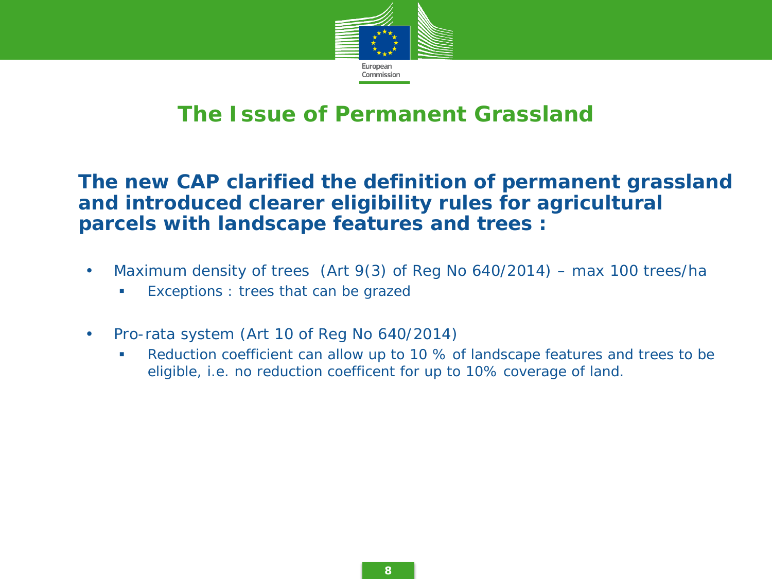

## **The Issue of Permanent Grassland**

#### • **The new CAP clarified the definition of permanent grassland and introduced clearer eligibility rules for agricultural parcels with landscape features and trees :**

- Maximum density of trees (Art 9(3) of Reg No 640/2014) max 100 trees/ha
	- Exceptions : trees that can be grazed
- Pro-rata system (Art 10 of Reg No 640/2014)
	- Reduction coefficient can allow up to 10 % of landscape features and trees to be eligible, i.e. no reduction coefficent for up to 10% coverage of land.